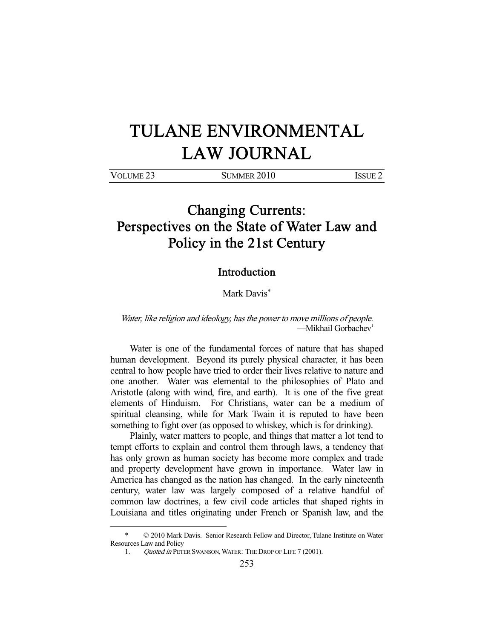## TULANE ENVIRONMENTAL LAW JOURNAL

| VOLUME <sub>23</sub> | SUMMER 2010 | Issue 2 |
|----------------------|-------------|---------|
|                      |             |         |

## Changing Currents: Perspectives on the State of Water Law and Policy in the 21st Century

## Introduction

Mark Davis\*

## Water, like religion and ideology, has the power to move millions of people. —Mikhail Gorbachev<sup>1</sup>

 Water is one of the fundamental forces of nature that has shaped human development. Beyond its purely physical character, it has been central to how people have tried to order their lives relative to nature and one another. Water was elemental to the philosophies of Plato and Aristotle (along with wind, fire, and earth). It is one of the five great elements of Hinduism. For Christians, water can be a medium of spiritual cleansing, while for Mark Twain it is reputed to have been something to fight over (as opposed to whiskey, which is for drinking).

 Plainly, water matters to people, and things that matter a lot tend to tempt efforts to explain and control them through laws, a tendency that has only grown as human society has become more complex and trade and property development have grown in importance. Water law in America has changed as the nation has changed. In the early nineteenth century, water law was largely composed of a relative handful of common law doctrines, a few civil code articles that shaped rights in Louisiana and titles originating under French or Spanish law, and the

-

 $© 2010$  Mark Davis. Senior Research Fellow and Director, Tulane Institute on Water Resources Law and Policy

<sup>1.</sup> Ouoted in PETER SWANSON, WATER: THE DROP OF LIFE 7 (2001).